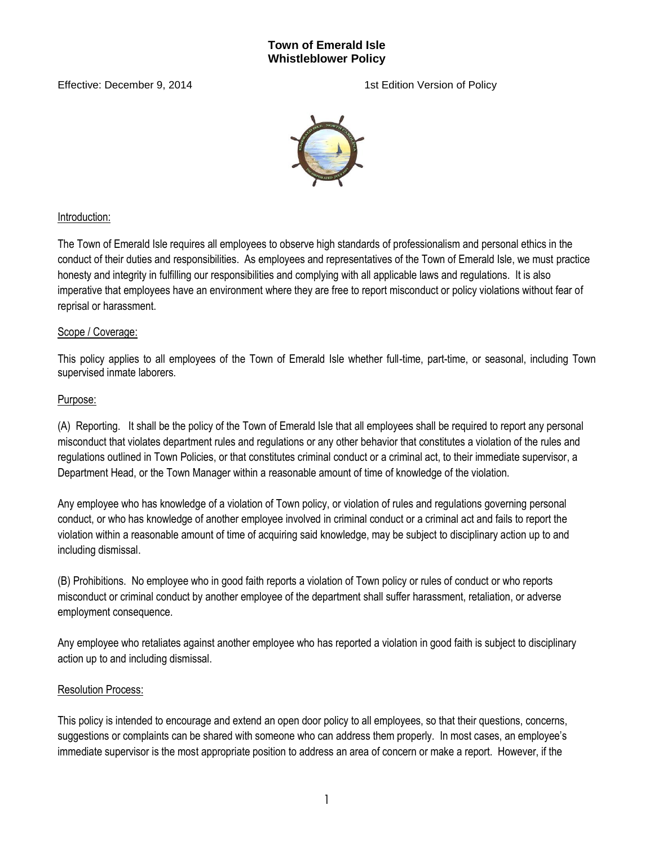### **Town of Emerald Isle Whistleblower Policy**

Effective: December 9, 2014 1st Edition Version of Policy



## Introduction:

The Town of Emerald Isle requires all employees to observe high standards of professionalism and personal ethics in the conduct of their duties and responsibilities. As employees and representatives of the Town of Emerald Isle, we must practice honesty and integrity in fulfilling our responsibilities and complying with all applicable laws and regulations. It is also imperative that employees have an environment where they are free to report misconduct or policy violations without fear of reprisal or harassment.

## Scope / Coverage:

This policy applies to all employees of the Town of Emerald Isle whether full-time, part-time, or seasonal, including Town supervised inmate laborers.

## Purpose:

(A) Reporting. It shall be the policy of the Town of Emerald Isle that all employees shall be required to report any personal misconduct that violates department rules and regulations or any other behavior that constitutes a violation of the rules and regulations outlined in Town Policies, or that constitutes criminal conduct or a criminal act, to their immediate supervisor, a Department Head, or the Town Manager within a reasonable amount of time of knowledge of the violation.

Any employee who has knowledge of a violation of Town policy, or violation of rules and regulations governing personal conduct, or who has knowledge of another employee involved in criminal conduct or a criminal act and fails to report the violation within a reasonable amount of time of acquiring said knowledge, may be subject to disciplinary action up to and including dismissal.

(B) Prohibitions. No employee who in good faith reports a violation of Town policy or rules of conduct or who reports misconduct or criminal conduct by another employee of the department shall suffer harassment, retaliation, or adverse employment consequence.

Any employee who retaliates against another employee who has reported a violation in good faith is subject to disciplinary action up to and including dismissal.

# Resolution Process:

This policy is intended to encourage and extend an open door policy to all employees, so that their questions, concerns, suggestions or complaints can be shared with someone who can address them properly. In most cases, an employee's immediate supervisor is the most appropriate position to address an area of concern or make a report. However, if the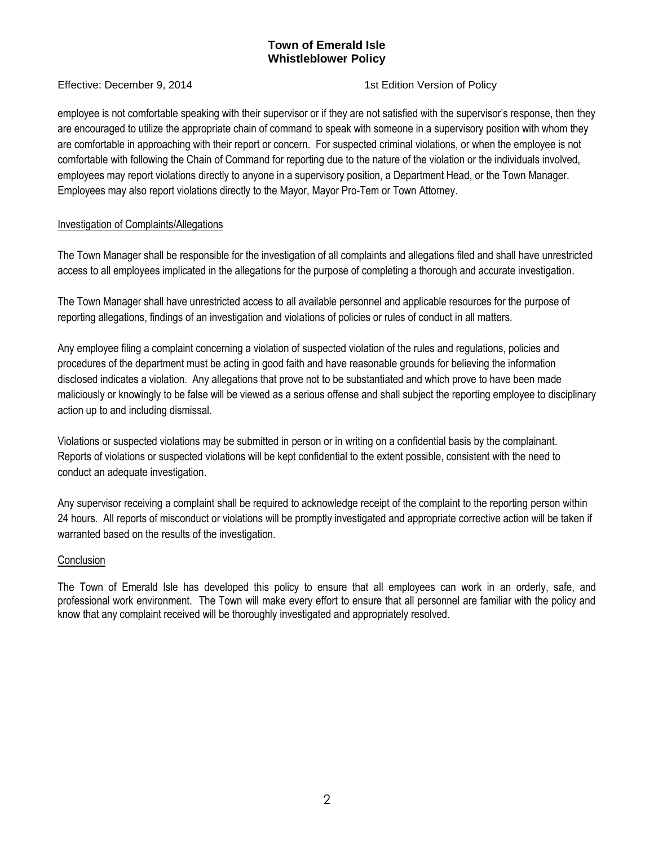# **Town of Emerald Isle Whistleblower Policy**

Effective: December 9, 2014 1st Edition Version of Policy

employee is not comfortable speaking with their supervisor or if they are not satisfied with the supervisor's response, then they are encouraged to utilize the appropriate chain of command to speak with someone in a supervisory position with whom they are comfortable in approaching with their report or concern. For suspected criminal violations, or when the employee is not comfortable with following the Chain of Command for reporting due to the nature of the violation or the individuals involved, employees may report violations directly to anyone in a supervisory position, a Department Head, or the Town Manager. Employees may also report violations directly to the Mayor, Mayor Pro-Tem or Town Attorney.

## Investigation of Complaints/Allegations

The Town Manager shall be responsible for the investigation of all complaints and allegations filed and shall have unrestricted access to all employees implicated in the allegations for the purpose of completing a thorough and accurate investigation.

The Town Manager shall have unrestricted access to all available personnel and applicable resources for the purpose of reporting allegations, findings of an investigation and violations of policies or rules of conduct in all matters.

Any employee filing a complaint concerning a violation of suspected violation of the rules and regulations, policies and procedures of the department must be acting in good faith and have reasonable grounds for believing the information disclosed indicates a violation. Any allegations that prove not to be substantiated and which prove to have been made maliciously or knowingly to be false will be viewed as a serious offense and shall subject the reporting employee to disciplinary action up to and including dismissal.

Violations or suspected violations may be submitted in person or in writing on a confidential basis by the complainant. Reports of violations or suspected violations will be kept confidential to the extent possible, consistent with the need to conduct an adequate investigation.

Any supervisor receiving a complaint shall be required to acknowledge receipt of the complaint to the reporting person within 24 hours. All reports of misconduct or violations will be promptly investigated and appropriate corrective action will be taken if warranted based on the results of the investigation.

#### **Conclusion**

The Town of Emerald Isle has developed this policy to ensure that all employees can work in an orderly, safe, and professional work environment. The Town will make every effort to ensure that all personnel are familiar with the policy and know that any complaint received will be thoroughly investigated and appropriately resolved.